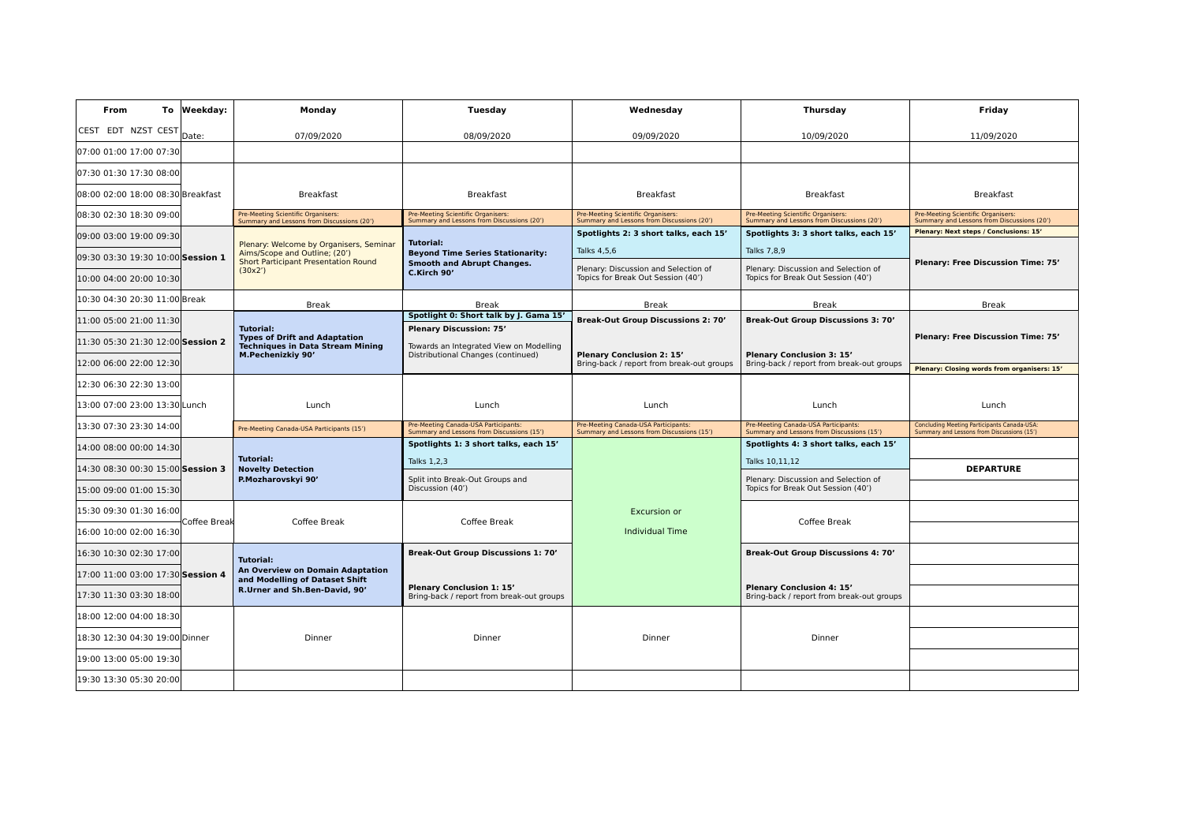| From                               | Weekday:<br>To | Monday                                                                                                                  | <b>Tuesday</b>                                                                                                  | Wednesday                                                                          | Thursday                                                                           | Friday                                                                                    |
|------------------------------------|----------------|-------------------------------------------------------------------------------------------------------------------------|-----------------------------------------------------------------------------------------------------------------|------------------------------------------------------------------------------------|------------------------------------------------------------------------------------|-------------------------------------------------------------------------------------------|
| CEST EDT NZST CEST                 | Date:          | 07/09/2020                                                                                                              | 08/09/2020                                                                                                      | 09/09/2020                                                                         | 10/09/2020                                                                         | 11/09/2020                                                                                |
| 07:00 01:00 17:00 07:30            |                |                                                                                                                         |                                                                                                                 |                                                                                    |                                                                                    |                                                                                           |
| 07:30 01:30 17:30 08:00            |                |                                                                                                                         |                                                                                                                 |                                                                                    |                                                                                    |                                                                                           |
| 08:00 02:00 18:00 08:30 Breakfast  |                | <b>Breakfast</b>                                                                                                        | <b>Breakfast</b>                                                                                                | <b>Breakfast</b>                                                                   | <b>Breakfast</b>                                                                   | <b>Breakfast</b>                                                                          |
| 08:30 02:30 18:30 09:00            |                | Pre-Meeting Scientific Organisers:<br>Summary and Lessons from Discussions (20')                                        | Pre-Meeting Scientific Organisers:<br>Summary and Lessons from Discussions (20')                                | Pre-Meeting Scientific Organisers:<br>Summary and Lessons from Discussions (20')   | Pre-Meeting Scientific Organisers:<br>Summary and Lessons from Discussions (20')   | Pre-Meeting Scientific Organisers:<br>Summary and Lessons from Discussions (20')          |
| 09:00 03:00 19:00 09:30            |                |                                                                                                                         | <b>Tutorial:</b><br><b>Beyond Time Series Stationarity:</b><br><b>Smooth and Abrupt Changes.</b><br>C.Kirch 90' | Spotlights 2: 3 short talks, each 15'                                              | Spotlights 3: 3 short talks, each 15'                                              | Plenary: Next steps / Conclusions: 15'                                                    |
| l09:30 03:30 19:30 10:00 Session 1 |                | Plenary: Welcome by Organisers, Seminar<br>Aims/Scope and Outline; (20')<br><b>Short Participant Presentation Round</b> |                                                                                                                 | Talks 4,5,6                                                                        | Talks 7.8.9                                                                        | Plenary: Free Discussion Time: 75'                                                        |
| 10:00 04:00 20:00 10:30            |                | (30x2')                                                                                                                 |                                                                                                                 | Plenary: Discussion and Selection of<br>Topics for Break Out Session (40')         | Plenary: Discussion and Selection of<br>Topics for Break Out Session (40')         |                                                                                           |
| 10:30 04:30 20:30 11:00 Break      |                | Break                                                                                                                   | <b>Break</b>                                                                                                    | <b>Break</b>                                                                       | <b>Break</b>                                                                       | Break                                                                                     |
| 11:00 05:00 21:00 11:30            |                |                                                                                                                         | Spotlight 0: Short talk by J. Gama 15'                                                                          | <b>Break-Out Group Discussions 2: 70'</b>                                          | Break-Out Group Discussions 3: 70'                                                 |                                                                                           |
| 11:30 05:30 21:30 12:00 Session 2  |                | <b>Tutorial:</b><br>Types of Drift and Adaptation                                                                       | <b>Plenary Discussion: 75'</b>                                                                                  | <b>Plenary Conclusion 2: 15'</b>                                                   |                                                                                    | Plenary: Free Discussion Time: 75'                                                        |
| 12:00 06:00 22:00 12:30            |                | <b>Techniques in Data Stream Mining</b><br>M.Pechenizkiy 90'                                                            | Towards an Integrated View on Modelling<br>Distributional Changes (continued)                                   |                                                                                    | <b>Plenary Conclusion 3: 15'</b>                                                   |                                                                                           |
|                                    |                |                                                                                                                         |                                                                                                                 | Bring-back / report from break-out groups                                          | Bring-back / report from break-out groups                                          | Plenary: Closing words from organisers: 15'                                               |
| 12:30 06:30 22:30 13:00            |                |                                                                                                                         |                                                                                                                 |                                                                                    |                                                                                    |                                                                                           |
| 13:00 07:00 23:00 13:30 Lunch      |                | Lunch                                                                                                                   | Lunch                                                                                                           | Lunch                                                                              | Lunch                                                                              | Lunch                                                                                     |
| 13:30 07:30 23:30 14:00            |                | Pre-Meeting Canada-USA Participants (15')                                                                               | Pre-Meeting Canada-USA Participants:<br>Summary and Lessons from Discussions (15')                              | Pre-Meeting Canada-USA Participants:<br>Summary and Lessons from Discussions (15') | Pre-Meeting Canada-USA Participants:<br>Summary and Lessons from Discussions (15') | Concluding Meeting Participants Canada-USA:<br>Summary and Lessons from Discussions (15') |
| 14:00 08:00 00:00 14:30            |                | <b>Tutorial:</b><br><b>Novelty Detection</b><br>P.Mozharovskyi 90'                                                      | Spotlights 1: 3 short talks, each 15'                                                                           |                                                                                    | Spotlights 4: 3 short talks, each 15'                                              |                                                                                           |
| 14:30 08:30 00:30 15:00 Session 3  |                |                                                                                                                         | Talks 1,2,3                                                                                                     |                                                                                    | Talks 10,11,12                                                                     | <b>DEPARTURE</b>                                                                          |
| 15:00 09:00 01:00 15:30            |                |                                                                                                                         | Split into Break-Out Groups and<br>Discussion (40')                                                             |                                                                                    | Plenary: Discussion and Selection of<br>Topics for Break Out Session (40')         |                                                                                           |
| 15:30 09:30 01:30 16:00            |                |                                                                                                                         |                                                                                                                 | <b>Excursion or</b>                                                                |                                                                                    |                                                                                           |
| 16:00 10:00 02:00 16:30            |                | Coffee Break<br>Coffee Break                                                                                            | Coffee Break                                                                                                    | <b>Individual Time</b>                                                             | Coffee Break                                                                       |                                                                                           |
| 16:30 10:30 02:30 17:00            |                | <b>Tutorial:</b>                                                                                                        | <b>Break-Out Group Discussions 1: 70'</b>                                                                       |                                                                                    | <b>Break-Out Group Discussions 4: 70'</b>                                          |                                                                                           |
| 17:00 11:00 03:00 17:30 Session 4  |                | An Overview on Domain Adaptation<br>and Modelling of Dataset Shift<br>R.Urner and Sh.Ben-David, 90'                     |                                                                                                                 |                                                                                    |                                                                                    |                                                                                           |
| 17:30 11:30 03:30 18:00            |                |                                                                                                                         | <b>Plenary Conclusion 1: 15'</b><br>Bring-back / report from break-out groups                                   |                                                                                    | <b>Plenary Conclusion 4: 15'</b><br>Bring-back / report from break-out groups      |                                                                                           |
| 18:00 12:00 04:00 18:30            |                |                                                                                                                         |                                                                                                                 |                                                                                    |                                                                                    |                                                                                           |
| 18:30 12:30 04:30 19:00 Dinner     |                | Dinner                                                                                                                  | Dinner                                                                                                          | Dinner                                                                             | Dinner                                                                             |                                                                                           |
| 19:00 13:00 05:00 19:30            |                |                                                                                                                         |                                                                                                                 |                                                                                    |                                                                                    |                                                                                           |
| 19:30 13:30 05:30 20:00            |                |                                                                                                                         |                                                                                                                 |                                                                                    |                                                                                    |                                                                                           |